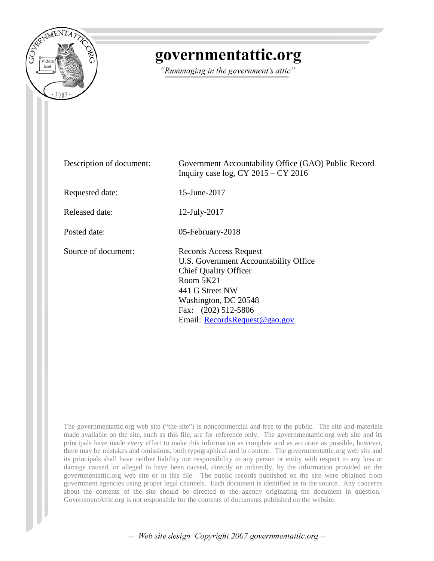

## governmentattic.org

"Rummaging in the government's attic"

| Description of document: | Government Accountability Office (GAO) Public Record<br>Inquiry case $log$ , CY 2015 – CY 2016                                                                                                                  |
|--------------------------|-----------------------------------------------------------------------------------------------------------------------------------------------------------------------------------------------------------------|
| Requested date:          | 15-June-2017                                                                                                                                                                                                    |
| Released date:           | 12-July-2017                                                                                                                                                                                                    |
| Posted date:             | 05-February-2018                                                                                                                                                                                                |
| Source of document:      | Records Access Request<br>U.S. Government Accountability Office<br><b>Chief Quality Officer</b><br>Room 5K21<br>441 G Street NW<br>Washington, DC 20548<br>Fax: (202) 512-5806<br>Email: RecordsRequest@gao.gov |

The governmentattic.org web site ("the site") is noncommercial and free to the public. The site and materials made available on the site, such as this file, are for reference only. The governmentattic.org web site and its principals have made every effort to make this information as complete and as accurate as possible, however, there may be mistakes and omissions, both typographical and in content. The governmentattic.org web site and its principals shall have neither liability nor responsibility to any person or entity with respect to any loss or damage caused, or alleged to have been caused, directly or indirectly, by the information provided on the governmentattic.org web site or in this file. The public records published on the site were obtained from government agencies using proper legal channels. Each document is identified as to the source. Any concerns about the contents of the site should be directed to the agency originating the document in question. GovernmentAttic.org is not responsible for the contents of documents published on the website.

-- Web site design Copyright 2007 governmentattic.org --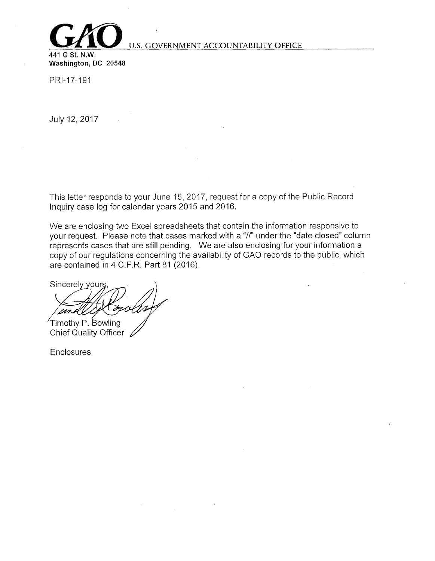

## U.S. GOVERNMENT ACCOUNTABILITY OFFICE

**441 G St. N.W.**  Washington, DC 20548

PRl-17-191

July 12, 2017

This letter responds to your June 15, 2017, request for a copy of the Public Record Inquiry case log for calendar years 2015 and 2016.

We are enclosing two Excel spreadsheets that contain the information responsive to your request. Please note that cases marked with a "//" under the "date closed" column represents cases that are still pending. We are also enclosing for your information a copy of our regulations concerning the availability of GAO records to the public, which are contained in 4 C.F.R. Part 81 (2016).

Sincerely yours

 $T$ imothy P. Bowling Chief Quality Officer  $\angle$ 

**Enclosures**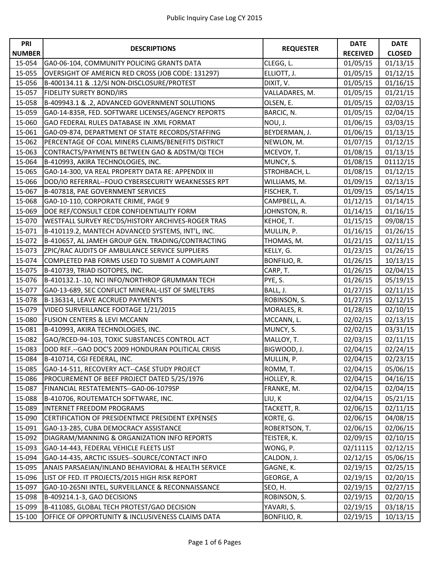| <b>PRI</b>    |                                                    |                  | <b>DATE</b>     | <b>DATE</b>   |
|---------------|----------------------------------------------------|------------------|-----------------|---------------|
| <b>NUMBER</b> | <b>DESCRIPTIONS</b>                                | <b>REQUESTER</b> | <b>RECEIVED</b> | <b>CLOSED</b> |
| 15-054        | GA0-06-104, COMMUNITY POLICING GRANTS DATA         | CLEGG, L.        | 01/05/15        | 01/13/15      |
| 15-055        | OVERSIGHT OF AMERICN RED CROSS (JOB CODE: 131297)  | ELLIOTT, J.      | 01/05/15        | 01/12/15      |
| 15-056        | B-400134.11 & .12/SI NON-DISCLOSURE/PROTEST        | DIXIT, V.        | 01/05/15        | 01/16/15      |
| 15-057        | <b>FIDELITY SURETY BOND/IRS</b>                    | VALLADARES, M.   | 01/05/15        | 01/21/15      |
| 15-058        | B-409943.1 & .2, ADVANCED GOVERNMENT SOLUTIONS     | OLSEN, E.        | 01/05/15        | 02/03/15      |
| 15-059        | GA0-14-835R, FED. SOFTWARE LICENSES/AGENCY REPORTS | BARCIC, N.       | 01/05/15        | 02/04/15      |
| 15-060        | GAO FEDERAL RULES DATABASE IN .XML FORMAT          | NOU, J.          | 01/06/15        | 03/03/15      |
| 15-061        | GA0-09-874, DEPARTMENT OF STATE RECORDS/STAFFING   | BEYDERMAN, J.    | 01/06/15        | 01/13/15      |
| 15-062        | PERCENTAGE OF COAL MINERS CLAIMS/BENEFITS DISTRICT | NEWLON, M.       | 01/07/15        | 01/12/15      |
| 15-063        | CONTRACTS/PAYMENTS BETWEEN GAO & ADSTM/QI TECH     | MCEVOY, T.       | 01/08/15        | 01/13/15      |
| 15-064        | B-410993, AKIRA TECHNOLOGIES, INC.                 | MUNCY, S.        | 01/08/15        | 01112/15      |
| 15-065        | GA0-14-300, VA REAL PROPERTY DATA RE: APPENDIX III | STROHBACH, L.    | 01/08/15        | 01/12/15      |
| 15-066        | DOD/IO REFERRAL--FOUO CYBERSECURITY WEAKNESSES RPT | WILLIAMS, M.     | 01/09/15        | 02/13/15      |
| 15-067        | B-407818, PAE GOVERNMENT SERVICES                  | FISCHER, T.      | 01/09/15        | 05/14/15      |
| 15-068        | GA0-10-110, CORPORATE CRIME, PAGE 9                | CAMPBELL, A.     | 01/12/15        | 01/14/15      |
| 15-069        | DOE REF/CONSULT CEDR CONFIDENTIALITY FORM          | JOHNSTON, R.     | 01/14/15        | 01/16/15      |
| 15-070        | WESTFALL SURVEY REC'DS/HISTORY ARCHIVES-ROGER TRAS | KEHOE, T.        | 01/15/15        | 09/08/15      |
| 15-071        | B-410119.2, MANTECH ADVANCED SYSTEMS, INT'L, INC.  | MULLIN, P.       | 01/16/15        | 01/26/15      |
| 15-072        | B-410657, AL JAMEH GROUP GEN. TRADING/CONTRACTING  | THOMAS, M.       | 01/21/15        | 02/11/15      |
| 15-073        | ZPIC/RAC AUDITS OF AMBULANCE SERVICE SUPPLIERS     | KELLY, G.        | 01/23/15        | 01/26/15      |
| 15-074        | COMPLETED PAB FORMS USED TO SUBMIT A COMPLAINT     | BONFILIO, R.     | 01/26/15        | 10/13/15      |
| 15-075        | B-410739, TRIAD ISOTOPES, INC.                     | CARP, T.         | 01/26/15        | 02/04/15      |
| 15-076        | B-410132.1-.10, NCI INFO/NORTHROP GRUMMAN TECH     | PYE, S.          | 01/26/15        | 05/19/15      |
| 15-077        | GA0-13-689, SEC CONFLICT MINERAL-LIST OF SMELTERS  | BALL, J.         | 01/27/15        | 02/11/15      |
| 15-078        | B-136314, LEAVE ACCRUED PAYMENTS                   | ROBINSON, S.     | 01/27/15        | 02/12/15      |
| 15-079        | VIDEO SURVEILLANCE FOOTAGE 1/21/2015               | MORALES, R.      | 01/28/15        | 02/10/15      |
| 15-080        | <b>FUSION CENTERS &amp; LEVI MCCANN</b>            | MCCANN, L.       | 02/02/15        | 02/13/15      |
| 15-081        | B-410993, AKIRA TECHNOLOGIES, INC.                 | MUNCY, S.        | 02/02/15        | 03/31/15      |
| 15-082        | GAO/RCED-94-103, TOXIC SUBSTANCES CONTROL ACT      | MALLOY, T.       | 02/03/15        | 02/11/15      |
| 15-083        | DOD REF.--GAO DOC'S 2009 HONDURAN POLITICAL CRISIS | BIGWOOD, J.      | 02/04/15        | 02/24/15      |
| 15-084        | B-410714, CGI FEDERAL, INC.                        | MULLIN, P.       | 02/04/15        | 02/23/15      |
| 15-085        | GA0-14-511, RECOVERY ACT--CASE STUDY PROJECT       | ROMM, T.         | 02/04/15        | 05/06/15      |
| 15-086        | PROCUREMENT OF BEEF PROJECT DATED 5/25/1976        | HOLLEY, R.       | 02/04/15        | 04/16/15      |
| 15-087        | FINANCIAL RESTATEMENTS--GA0-06-1079SP              | FRANKE, M.       | 02/04/15        | 02/04/15      |
| 15-088        | B-410706, ROUTEMATCH SOFTWARE, INC.                | LIU, K           | 02/04/15        | 05/21/15      |
| 15-089        | <b>INTERNET FREEDOM PROGRAMS</b>                   | TACKETT, R.      | 02/06/15        | 02/11/15      |
| 15-090        | CERTIFICATION OF PRESIDENTMCE PRESIDENT EXPENSES   | KORTE, G.        | 02/06/15        | 04/08/15      |
| 15-091        | GA0-13-285, CUBA DEMOCRACY ASSISTANCE              | ROBERTSON, T.    | 02/06/15        | 02/06/15      |
| 15-092        | DIAGRAM/MANNING & ORGANIZATION INFO REPORTS        | TEISTER, K.      | 02/09/15        | 02/10/15      |
| 15-093        | GA0-14-443, FEDERAL VEHICLE FLEETS LIST            | WONG, P.         | 02/11115        | 02/12/15      |
| 15-094        | GA0-14-435, ARCTIC ISSUES--SOURCE/CONTACT INFO     | CALDON, J.       | 02/12/15        | 05/06/15      |
| 15-095        | ANAIS PARSAEIAN/INLAND BEHAVIORAL & HEALTH SERVICE | GAGNE, K.        | 02/19/15        | 02/25/15      |
| 15-096        | LIST OF FED. IT PROJECTS/2015 HIGH RISK REPORT     | GEORGE, A        | 02/19/15        | 02/20/15      |
| 15-097        | GA0-10-265NI INTEL, SURVEILLANCE & RECONNAISSANCE  | SEO, H.          | 02/19/15        | 02/27/15      |
| 15-098        | B-409214.1-3, GAO DECISIONS                        | ROBINSON, S.     | 02/19/15        | 02/20/15      |
| 15-099        | B-411085, GLOBAL TECH PROTEST/GAO DECISION         | YAVARI, S.       | 02/19/15        | 03/18/15      |
| 15-100        | OFFICE OF OPPORTUNITY & INCLUSIVENESS CLAIMS DATA  | BONFILIO, R.     | 02/19/15        | 10/13/15      |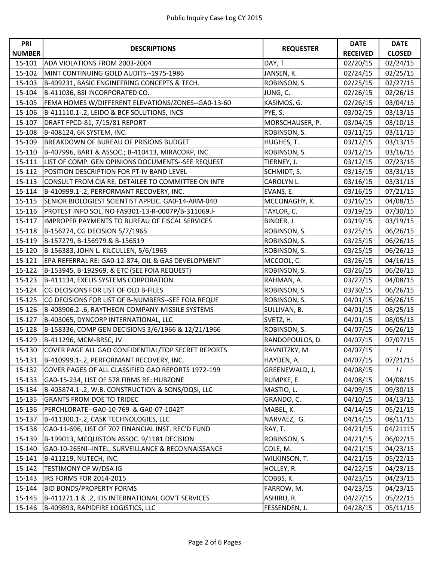| <b>PRI</b>    |                                                    |                  | <b>DATE</b>     | <b>DATE</b>   |
|---------------|----------------------------------------------------|------------------|-----------------|---------------|
| <b>NUMBER</b> | <b>DESCRIPTIONS</b>                                | <b>REQUESTER</b> | <b>RECEIVED</b> | <b>CLOSED</b> |
| 15-101        | ADA VIOLATIONS FROM 2003-2004                      | DAY, T.          | 02/20/15        | 02/24/15      |
| 15-102        | MINT CONTINUING GOLD AUDITS--1975-1986             | JANSEN, K.       | 02/24/15        | 02/25/15      |
| 15-103        | B-409231, BASIC ENGINEERING CONCEPTS & TECH.       | ROBINSON, S.     | 02/25/15        | 02/27/15      |
| 15-104        | B-411036, BSI INCORPORATED CO.                     | JUNG, C.         | 02/26/15        | 02/26/15      |
| 15-105        | FEMA HOMES W/DIFFERENT ELEVATIONS/ZONES--GA0-13-60 | KASIMOS, G.      | 02/26/15        | 03/04/15      |
| 15-106        | B-411110.1-.2, LEIDO & BCF SOLUTIONS, INCS         | PYE, S.          | 03/02/15        | 03/13/15      |
| 15-107        | DRAFT FPCD-81, 7/15/81 REPORT                      | MORSCHAUSER, P.  | 03/04/15        | 03/10/15      |
| 15-108        | B-408124, 6K SYSTEM, INC.                          | ROBINSON, S.     | 03/11/15        | 03/11/15      |
| 15-109        | <b>BREAKDOWN OF BUREAU OF PRISIONS BUDGET</b>      | HUGHES, T.       | 03/12/15        | 03/13/15      |
| 15-110        | B-407996, BART & ASSOC.; B-410413, MIRACORP, INC.  | ROBINSON, S.     | 03/12/15        | 03/16/15      |
| 15-111        | LIST OF COMP. GEN OPINIONS DOCUMENTS--SEE REQUEST  | TIERNEY, J.      | 03/12/15        | 07/23/15      |
| 15-112        | POSITION DESCRIPTION FOR PT-IV BAND LEVEL          | SCHMIDT, S.      | 03/13/15        | 03/31/15      |
| 15-113        | CONSULT FROM CIA RE: DETAILEE TO COMMITTEE ON INTE | CAROLYN L.       | 03/16/15        | 03/31/15      |
| 15-114        | B-410999.1-.2, PERFORMANT RECOVERY, INC.           | EVANS, E.        | 03/16/15        | 07/21/15      |
| 15-115        | SENIOR BIOLOGIEST SCIENTIST APPLIC. GA0-14-ARM-040 | MCCONAGHY, K.    | 03/16/15        | 04/08/15      |
| 15-116        | PROTEST INFO SOL. NO FA9301-13-R-0007P/B-311069.I- | TAYLOR, C.       | 03/19/15        | 07/30/15      |
| 15-117        | IMPROPER PAYMENTS TO BUREAU OF FISCAL SERVICES     | BINDER, J.       | 03/19/15        | 03/19/15      |
| 15-118        | B-156274, CG DECISION 5/7/1965                     | ROBINSON, S.     | 03/25/15        | 06/26/15      |
| 15-119        | B-157279, B-156979 & B-156519                      | ROBINSON, S.     | 03/25/15        | 06/26/15      |
| 15-120        | B-156383, JOHN L. KILCULLEN, 5/6/1965              | ROBINSON, S.     | 03/25/15        | 06/26/15      |
| 15-121        | EPA REFERRAL RE: GA0-12-874, OIL & GAS DEVELOPMENT | MCCOOL, C.       | 03/26/15        | 04/16/15      |
| 15-122        | B-153945, B-192969, & ETC (SEE FOIA REQUEST)       | ROBINSON, S.     | 03/26/15        | 06/26/15      |
| 15-123        | B-411134, EXELIS SYSTEMS CORPORATION               | RAHMAN, A.       | 03/27/15        | 04/08/15      |
| 15-124        | CG DECISIONS FOR LIST OF OLD B-FILES               | ROBINSON, S.     | 03/30/15        | 06/26/15      |
| 15-125        | CG DECISIONS FOR LIST OF B-NUMBERS--SEE FOIA REQUE | ROBINSON, S.     | 04/01/15        | 06/26/15      |
| 15-126        | B-408906.2-.6, RAYTHEON COMPANY-MISSILE SYSTEMS    | SULLIVAN, B.     | 04/01/15        | 08/25/15      |
| 15-127        | B-403065, DYNCORP INTERNATIONAL, LLC               | SVETZ, H.        | 04/01/15        | 08/05/15      |
| 15-128        | B-158336, COMP GEN DECISIONS 3/6/1966 & 12/21/1966 | ROBINSON, S.     | 04/07/15        | 06/26/15      |
| 15-129        | B-411296, MCM-BRSC, JV                             | RANDOPOULOS, D.  | 04/07/15        | 07/07/15      |
| 15-130        | COVER PAGE ALL GAO CONFIDENTIAL/TOP SECRET REPORTS | RAVNITZKY, M.    | 04/07/15        | $\frac{1}{2}$ |
| 15-131        | B-410999.1-.2, PERFORMANT RECOVERY, INC.           | HAYDEN, A.       | 04/07/15        | 07/21/15      |
| 15-132        | COVER PAGES OF ALL CLASSIFIED GAO REPORTS 1972-199 | GREENEWALD, J.   | 04/08/15        | $\frac{1}{2}$ |
| 15-133        | GA0-15-234, LIST OF 578 FIRMS RE: HUBZONE          | RUMPKE, E.       | 04/08/15        | 04/08/15      |
| 15-134        | B-405874.1-.2, W.B. CONSTRUCTION & SONS/DQSI, LLC  | MASTIO, L.       | 04/09/15        | 09/30/15      |
| 15-135        | <b>GRANTS FROM DOE TO TRIDEC</b>                   | GRANDO, C.       | 04/10/15        | 04/13/15      |
| 15-136        | PERCHLORATE--GA0-10-769 & GA0-07-1042T             | MABEL, K.        | 04/14/15        | 05/21/15      |
| 15-137        | B-411300.1-.2, CASK TECHNOLOGIES, LLC              | NARVAEZ, G.      | 04/14/15        | 08/11/15      |
| 15-138        | GA0-11-696, LIST OF 707 FINANCIAL INST. REC'D FUND | RAY, T.          | 04/21/15        | 04/21115      |
| 15-139        | B-199013, MCQUISTON ASSOC. 9/1181 DECISION         | ROBINSON, S.     | 04/21/15        | 06/02/15      |
| $15 - 140$    | GA0-10-265NI--INTEL, SURVEILLANCE & RECONNAISSANCE | COLE, M.         | 04/21/15        | 04/23/15      |
| 15-141        | <b>B-411219, NUTECH, INC.</b>                      | WILKINSON, T.    | 04/21/15        | 05/22/15      |
| 15-142        | TESTIMONY OF W/DSA IG                              | HOLLEY, R.       | 04/22/15        | 04/23/15      |
| 15-143        | IRS FORMS FOR 2014-2015                            | COBBS, K.        | 04/23/15        | 04/23/15      |
| 15-144        | <b>BID BONDS/PROPERTY FORMS</b>                    | FARROW, M.       | 04/23/15        | 04/23/15      |
| 15-145        | B-411271.1 & .2, IDS INTERNATIONAL GOV'T SERVICES  | ASHIRU, R.       | 04/27/15        | 05/22/15      |
| 15-146        | B-409893, RAPIDFIRE LOGISTICS, LLC                 | FESSENDEN, J.    | 04/28/15        | 05/11/15      |
|               |                                                    |                  |                 |               |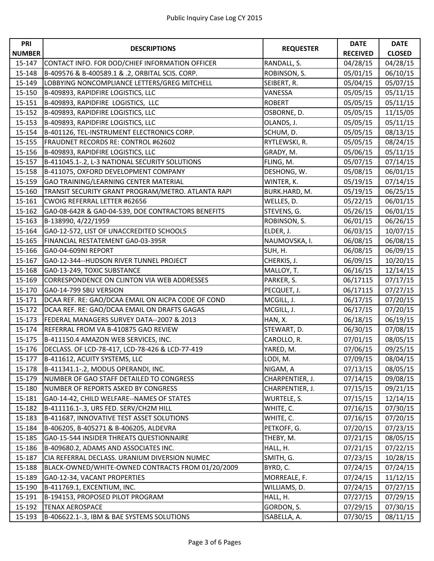| PRI           |                                                    |                  | <b>DATE</b>     | <b>DATE</b>   |
|---------------|----------------------------------------------------|------------------|-----------------|---------------|
| <b>NUMBER</b> | <b>DESCRIPTIONS</b>                                | <b>REQUESTER</b> | <b>RECEIVED</b> | <b>CLOSED</b> |
| 15-147        | CONTACT INFO. FOR DOD/CHIEF INFORMATION OFFICER    | RANDALL, S.      | 04/28/15        | 04/28/15      |
| 15-148        | B-409576 & B-400589.1 & .2, ORBITAL SCIS. CORP.    | ROBINSON, S.     | 05/01/15        | 06/10/15      |
| 15-149        | LOBBYING NONCOMPLIANCE LETTERS/GREG MITCHELL       | SEIBERT, R.      | 05/04/15        | 05/07/15      |
| 15-150        | B-409893, RAPIDFIRE LOGISTICS, LLC                 | VANESSA          | 05/05/15        | 05/11/15      |
| 15-151        | B-409893, RAPIDFIRE LOGISTICS, LLC                 | <b>ROBERT</b>    | 05/05/15        | 05/11/15      |
| 15-152        | B-409893, RAPIDFIRE LOGISTICS, LLC                 | OSBORNE, D.      | 05/05/15        | 11/15/05      |
| 15-153        | B-409893, RAPIDFIRE LOGISTICS, LLC                 | OLANDS, J.       | 05/05/15        | 05/11/15      |
| 15-154        | B-401126, TEL-INSTRUMENT ELECTRONICS CORP.         | SCHUM, D.        | 05/05/15        | 08/13/15      |
| 15-155        | FRAUDNET RECORDS RE: CONTROL #62602                | RYTLEWSKI, R.    | 05/05/15        | 08/24/15      |
| 15-156        | B-409893, RAPIDFIRE LOGISTICS, LLC                 | GRADY, M.        | 05/06/15        | 05/11/15      |
| 15-157        | B-411045.1-.2, L-3 NATIONAL SECURITY SOLUTIONS     | FLING, M.        | 05/07/15        | 07/14/15      |
| 15-158        | B-411075, OXFORD DEVELOPMENT COMPANY               | DESHONG, W.      | 05/08/15        | 06/01/15      |
| 15-159        | GAO TRAINING/LEARNING CENTER MATERIAL              | WINTER, K.       | 05/19/15        | 07/14/15      |
| 15-160        | TRANSIT SECURITY GRANT PROGRAM/METRO. ATLANTA RAPI | BURK.HARD, M.    | 05/19/15        | 06/25/15      |
| 15-161        | <b>CWOIG REFERRAL LETTER #62656</b>                | WELLES, D.       | 05/22/15        | 06/01/15      |
| 15-162        | GA0-08-642R & GA0-04-539, DOE CONTRACTORS BENEFITS | STEVENS, G.      | 05/26/15        | 06/01/15      |
| 15-163        | B-138990, 4/22/1959                                | ROBINSON, S.     | 06/01/15        | 06/26/15      |
| 15-164        | GA0-12-572, LIST OF UNACCREDITED SCHOOLS           | ELDER, J.        | 06/03/15        | 10/07/15      |
| 15-165        | FINANCIAL RESTATEMENT GA0-03-395R                  | NAUMOVSKA, I.    | 06/08/15        | 06/08/15      |
| 15-166        | GA0-04-609NI REPORT                                | SUH, H.          | 06/08/15        | 06/09/15      |
| 15-167        | GA0-12-344--HUDSON RIVER TUNNEL PROJECT            | CHERKIS, J.      | 06/09/15        | 10/20/15      |
| 15-168        | GA0-13-249, TOXIC SUBSTANCE                        | MALLOY, T.       | 06/16/15        | 12/14/15      |
| 15-169        | CORRESPONDENCE ON CLINTON VIA WEB ADDRESSES        | PARKER, S.       | 06/17115        | 07/17/15      |
| 15-170        | GA0-14-799 SBU VERSION                             | PECQUET, J.      | 06/17115        | 07/27/15      |
| 15-171        | DCAA REF. RE: GAO/DCAA EMAIL ON AICPA CODE OF COND | MCGILL, J.       | 06/17/15        | 07/20/15      |
| 15-172        | DCAA REF. RE: GAO/DCAA EMAIL ON DRAFTS GAGAS       | MCGILL, J.       | 06/17/15        | 07/20/15      |
| 15-173        | FEDERAL MANAGERS SURVEY DATA--2007 & 2013          | HAN, X.          | 06/18/15        | 06/19/15      |
| 15-174        | REFERRAL FROM VA B-410875 GAO REVIEW               | STEWART, D.      | 06/30/15        | 07/08/15      |
| 15-175        | B-411150.4 AMAZON WEB SERVICES, INC.               | CAROLLO, R.      | 07/01/15        | 08/05/15      |
| 15-176        | DECLASS. OF LCD-78-417, LCD-78-426 & LCD-77-419    | YARED, M.        | 07/06/15        | 09/25/15      |
| 15-177        | B-411612, ACUITY SYSTEMS, LLC                      | LODI, M.         | 07/09/15        | 08/04/15      |
| 15-178        | B-411341.1-.2, MODUS OPERANDI, INC.                | NIGAM, A         | 07/13/15        | 08/05/15      |
| 15-179        | NUMBER OF GAO STAFF DETAILED TO CONGRESS           | CHARPENTIER, J.  | 07/14/15        | 09/08/15      |
| 15-180        | NUMBER OF REPORTS ASKED BY CONGRESS                | CHARPENTIER, J.  | 07/15/15        | 09/21/15      |
| 15-181        | GA0-14-42, CHILD WELFARE--NAMES OF STATES          | WURTELE, S.      | 07/15/15        | 12/14/15      |
| 15-182        | B-411116.1-.3, URS FED. SERV/CH2M HILL             | WHITE, C.        | 07/16/15        | 07/30/15      |
| 15-183        | B-411687, INNOVATIVE TEST ASSET SOLUTIONS          | WHITE, C.        | 07/16/15        | 07/20/15      |
| 15-184        | B-406205, B-405271 & B-406205, ALDEVRA             | PETKOFF, G.      | 07/20/15        | 07/23/15      |
| 15-185        | GA0-15-544 INSIDER THREATS QUESTIONNAIRE           | THEBY, M.        | 07/21/15        | 08/05/15      |
| 15-186        | B-409680.2, ADAMS AND ASSOCIATES INC.              | HALL, H.         | 07/21/15        | 07/22/15      |
| 15-187        | CIA REFERRAL DECLASS. URANIUM DIVERSION NUMEC      | SMITH, G.        | 07/23/15        | 10/28/15      |
| 15-188        | BLACK-OWNED/WHITE-OWNED CONTRACTS FROM 01/20/2009  | BYRD, C.         | 07/24/15        | 07/24/15      |
| 15-189        | GA0-12-34, VACANT PROPERTIES                       | MORREALE, F.     | 07/24/15        | 11/12/15      |
| 15-190        | B-411769.1, EXCENTIUM, INC.                        | WILLIAMS, D.     | 07/24/15        | 07/27/15      |
| 15-191        | B-194153, PROPOSED PILOT PROGRAM                   | HALL, H.         | 07/27/15        | 07/29/15      |
| 15-192        | <b>TENAX AEROSPACE</b>                             | GORDON, S.       | 07/29/15        | 07/30/15      |
| 15-193        | B-406622.1-.3, IBM & BAE SYSTEMS SOLUTIONS         | ISABELLA, A.     | 07/30/15        | 08/11/15      |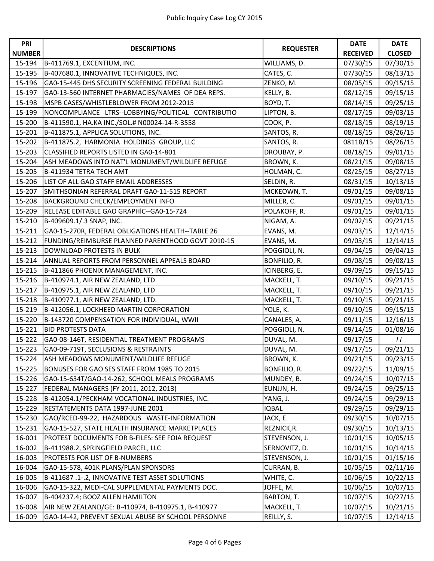| <b>PRI</b>    | <b>DESCRIPTIONS</b>                                |                  | <b>DATE</b>     | <b>DATE</b>   |
|---------------|----------------------------------------------------|------------------|-----------------|---------------|
| <b>NUMBER</b> |                                                    | <b>REQUESTER</b> | <b>RECEIVED</b> | <b>CLOSED</b> |
| 15-194        | B-411769.1, EXCENTIUM, INC.                        | WILLIAMS, D.     | 07/30/15        | 07/30/15      |
| 15-195        | B-407680.1, INNOVATIVE TECHNIQUES, INC.            | CATES, C.        | 07/30/15        | 08/13/15      |
| 15-196        | GA0-15-445 DHS SECURITY SCREENING FEDERAL BUILDING | ZENKO, M.        | 08/05/15        | 09/15/15      |
| 15-197        | GA0-13-560 INTERNET PHARMACIES/NAMES OF DEA REPS.  | KELLY, B.        | 08/12/15        | 09/15/15      |
| 15-198        | MSPB CASES/WHISTLEBLOWER FROM 2012-2015            | BOYD, T.         | 08/14/15        | 09/25/15      |
| 15-199        | NONCOMPLIANCE LTRS--LOBBYING/POLITICAL CONTRIBUTIO | LIPTON, B.       | 08/17/15        | 09/03/15      |
| 15-200        | B-411590.1, HA.KA INC./SOL.# N00024-14-R-3558      | COOK, P.         | 08/18/15        | 08/19/15      |
| 15-201        | B-411875.1, APPLICA SOLUTIONS, INC.                | SANTOS, R.       | 08/18/15        | 08/26/15      |
| 15-202        | B-411875.2, HARMONIA HOLDINGS GROUP, LLC           | SANTOS, R.       | 08118/15        | 08/26/15      |
| 15-203        | CLASSIFIED REPORTS LISTED IN GA0-14-801            | DROUBAY, P.      | 08/18/15        | 09/01/15      |
| 15-204        | ASH MEADOWS INTO NAT'L MONUMENT/WILDLIFE REFUGE    | BROWN, K.        | 08/21/15        | 09/08/15      |
| 15-205        | B-411934 TETRA TECH AMT                            | HOLMAN, C.       | 08/25/15        | 08/27/15      |
| 15-206        | LIST OF ALL GAO STAFF EMAIL ADDRESSES              | SELDIN, R.       | 08/31/15        | 10/13/15      |
| 15-207        | SMITHSONIAN REFERRAL DRAFT GA0-11-515 REPORT       | MCKEOWN, T.      | 09/01/15        | 09/08/15      |
| 15-208        | BACKGROUND CHECK/EMPLOYMENT INFO                   | MILLER, C.       | 09/01/15        | 09/01/15      |
| 15-209        | RELEASE EDITABLE GAO GRAPHIC--GA0-15-724           | POLAKOFF, R.     | 09/01/15        | 09/01/15      |
| 15-210        | B-409609.1/.3 SNAP, INC.                           | NIGAM, A.        | 09/02/15        | 09/21/15      |
| 15-211        | GA0-15-270R, FEDERAL OBLIGATIONS HEALTH--TABLE 26  | EVANS, M.        | 09/03/15        | 12/14/15      |
| 15-212        | FUNDING/REIMBURSE PLANNED PARENTHOOD GOVT 2010-15  | EVANS, M.        | 09/03/15        | 12/14/15      |
| 15-213        | DOWNLOAD PROTESTS IN BULK                          | POGGIOLI, N.     | 09/04/15        | 09/04/15      |
| 15-214        | ANNUAL REPORTS FROM PERSONNEL APPEALS BOARD        | BONFILIO, R.     | 09/08/15        | 09/08/15      |
| 15-215        | B-411866 PHOENIX MANAGEMENT, INC.                  | ICINBERG, E.     | 09/09/15        | 09/15/15      |
| 15-216        | B-410974.1, AIR NEW ZEALAND, LTD                   | MACKELL, T.      | 09/10/15        | 09/21/15      |
| 15-217        | B-410975.1, AIR NEW ZEALAND, LTD                   | MACKELL, T.      | 09/10/15        | 09/21/15      |
| 15-218        | B-410977.1, AIR NEW ZEALAND, LTD.                  | MACKELL, T.      | 09/10/15        | 09/21/15      |
| 15-219        | B-412056.1, LOCKHEED MARTIN CORPORATION            | YOLE, K.         | 09/10/15        | 09/15/15      |
| 15-220        | B-143720 COMPENSATION FOR INDIVIDUAL, WWII         | CANALES, A.      | 09/11/15        | 12/16/15      |
| 15-221        | <b>BID PROTESTS DATA</b>                           | POGGIOLI, N.     | 09/14/15        | 01/08/16      |
| 15-222        | GA0-08-146T, RESIDENTIAL TREATMENT PROGRAMS        | DUVAL, M.        | 09/17/15        | $\frac{1}{2}$ |
| 15-223        | GA0-09-719T, SECLUSIONS & RESTRAINTS               | DUVAL, M.        | 09/17/15        | 09/21/15      |
| 15-224        | ASH MEADOWS MONUMENT/WILDLIFE REFUGE               | BROWN, K.        | 09/21/15        | 09/23/15      |
| 15-225        | BONUSES FOR GAO SES STAFF FROM 1985 TO 2015        | BONFILIO, R.     | 09/22/15        | 11/09/15      |
| 15-226        | GA0-15-634T/GAO-14-262, SCHOOL MEALS PROGRAMS      | MUNDEY, B.       | 09/24/15        | 10/07/15      |
| 15-227        | FEDERAL MANAGERS (FY 2011, 2012, 2013)             | EUNJJN, H.       | 09/24/15        | 09/25/15      |
| 15-228        | B-412054.1/PECKHAM VOCATIONAL INDUSTRIES, INC.     | YANG, J.         | 09/24/15        | 09/29/15      |
| 15-229        | RESTATEMENTS DATA 1997-JUNE 2001                   | <b>IQBAL</b>     | 09/29/15        | 09/29/15      |
| 15-230        | GAO/RCED-99-22, HAZARDOUS WASTE-INFORMATION        | JACK, E.         | 09/30/15        | 10/07/15      |
| 15-231        | GA0-15-527, STATE HEALTH INSURANCE MARKETPLACES    | REZNICK, R.      | 09/30/15        | 10/13/15      |
| 16-001        | PROTEST DOCUMENTS FOR B-FILES: SEE FOIA REQUEST    | STEVENSON, J.    | 10/01/15        | 10/05/15      |
| 16-002        | B-411988.2, SPRINGFIELD PARCEL, LLC                | SERNOVITZ, D.    | 10/01/15        | 10/14/15      |
| 16-003        | PROTESTS FOR LIST OF B-NUMBERS                     | STEVENSON, J.    | 10/01/15        | 01/15/16      |
| 16-004        | GA0-15-578, 401K PLANS/PLAN SPONSORS               | CURRAN, B.       | 10/05/15        | 02/11/16      |
| 16-005        | B-411687 .1-.2, INNOVATIVE TEST ASSET SOLUTIONS    | WHITE, C.        | 10/06/15        | 10/22/15      |
| 16-006        | GA0-15-322, MEDI-CAL SUPPLEMENTAL PAYMENTS DOC.    | JOFFE, M.        | 10/06/15        | 10/07/15      |
| 16-007        | B-404237.4; BOOZ ALLEN HAMILTON                    | BARTON, T.       | 10/07/15        | 10/27/15      |
| 16-008        | AIR NEW ZEALAND/GE: B-410974, B-410975.1, B-410977 | MACKELL, T.      | 10/07/15        | 10/21/15      |
| 16-009        | GA0-14-42, PREVENT SEXUAL ABUSE BY SCHOOL PERSONNE | REILLY, S.       | 10/07/15        | 12/14/15      |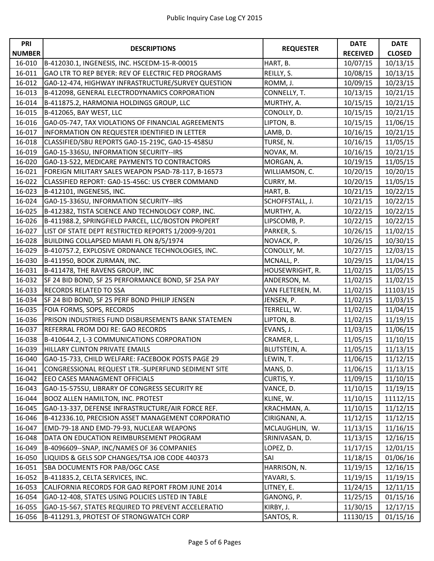| PRI           |                                                    |                      | <b>DATE</b>     | <b>DATE</b>   |
|---------------|----------------------------------------------------|----------------------|-----------------|---------------|
| <b>NUMBER</b> | <b>DESCRIPTIONS</b>                                | <b>REQUESTER</b>     | <b>RECEIVED</b> | <b>CLOSED</b> |
| 16-010        | B-412030.1, INGENESIS, INC. HSCEDM-15-R-00015      | HART, B.             | 10/07/15        | 10/13/15      |
| 16-011        | GAO LTR TO REP BEYER: REV OF ELECTRIC FED PROGRAMS | REILLY, S.           | 10/08/15        | 10/13/15      |
| 16-012        | GA0-12-474, HIGHWAY INFRASTRUCTURE/SURVEY QUESTION | ROMM, J.             | 10/09/15        | 10/23/15      |
| 16-013        | B-412098, GENERAL ELECTRODYNAMICS CORPORATION      | CONNELLY, T.         | 10/13/15        | 10/21/15      |
| 16-014        | B-411875.2, HARMONIA HOLDINGS GROUP, LLC           | MURTHY, A.           | 10/15/15        | 10/21/15      |
| 16-015        | B-412065, BAY WEST, LLC                            | CONOLLY, D.          | 10/15/15        | 10/21/15      |
| 16-016        | GA0-05-747, TAX VIOLATIONS OF FINANCIAL AGREEMENTS | LIPTON, B.           | 10/15/15        | 11/06/15      |
| 16-017        | INFORMATION ON REQUESTER IDENTIFIED IN LETTER      | LAMB, D.             | 10/16/15        | 10/21/15      |
| 16-018        | CLASSIFIED/SBU REPORTS GA0-15-219C, GA0-15-458SU   | TURSE, N.            | 10/16/15        | 11/05/15      |
| 16-019        | GA0-15-336SU, INFORMATION SECURITY--IRS            | NOVAK, M.            | 10/16/15        | 10/21/15      |
| 16-020        | GA0-13-522, MEDICARE PAYMENTS TO CONTRACTORS       | MORGAN, A.           | 10/19/15        | 11/05/15      |
| 16-021        | FOREIGN MILITARY SALES WEAPON PSAD-78-117, B-16573 | WILLIAMSON, C.       | 10/20/15        | 10/20/15      |
| 16-022        | CLASSIFIED REPORT: GA0-15-456C: US CYBER COMMAND   | CURRY, M.            | 10/20/15        | 11/05/15      |
| 16-023        | B-412101, INGENESIS, INC.                          | HART, B.             | 10/21/15        | 10/22/15      |
| 16-024        | GA0-15-336SU, INFORMATION SECURITY--IRS            | SCHOFFSTALL, J.      | 10/21/15        | 10/22/15      |
| 16-025        | B-412382, TISTA SCIENCE AND TECHNOLOGY CORP, INC.  | MURTHY, A.           | 10/22/15        | 10/22/15      |
| 16-026        | B-411988.2, SPRINGFIELD PARCEL, LLC/BOSTON PROPERT | LIPSCOMB, P.         | 10/22/15        | 10/22/15      |
| 16-027        | LIST OF STATE DEPT RESTRICTED REPORTS 1/2009-9/201 | PARKER, S.           | 10/26/15        | 11/02/15      |
| 16-028        | BUILDING COLLAPSED MIAMI FL ON 8/5/1974            | NOVACK, P.           | 10/26/15        | 10/30/15      |
| 16-029        | B-410757.2, EXPLOSIVE ORDNANCE TECHNOLOGIES, INC.  | CONOLLY, M.          | 10/27/15        | 12/03/15      |
| 16-030        | B-411950, BOOK ZURMAN, INC.                        | MCNALL, P.           | 10/29/15        | 11/04/15      |
| 16-031        | B-411478, THE RAVENS GROUP, INC                    | HOUSEWRIGHT, R.      | 11/02/15        | 11/05/15      |
| 16-032        | SF 24 BID BOND, SF 25 PERFORMANCE BOND, SF 25A PAY | ANDERSON, M.         | 11/02/15        | 11/02/15      |
| 16-033        | RECORDS RELATED TO SSA                             | VAN FLETEREN, M.     | 11/02/15        | 11103/15      |
| 16-034        | SF 24 BID BOND, SF 25 PERF BOND PHILIP JENSEN      | JENSEN, P.           | 11/02/15        | 11/03/15      |
| 16-035        | FOIA FORMS, SOPS, RECORDS                          | TERRELL, W.          | 11/02/15        | 11/04/15      |
| 16-036        | PRISON INDUSTRIES FUND DISBURSEMENTS BANK STATEMEN | LIPTON, B.           | 11/02/15        | 11/19/15      |
| 16-037        | REFERRAL FROM DOJ RE: GAO RECORDS                  | EVANS, J.            | 11/03/15        | 11/06/15      |
| 16-038        | B-410644.2, L-3 COMMUNICATIONS CORPORATION         | CRAMER, L.           | 11/05/15        | 11/10/15      |
| 16-039        | HILLARY CLINTON PRIVATE EMAILS                     | <b>BLUTSTEIN, A.</b> | 11/05/15        | 11/13/15      |
| 16-040        | GA0-15-733, CHILD WELFARE: FACEBOOK POSTS PAGE 29  | LEWIN, T.            | 11/06/15        | 11/12/15      |
| 16-041        | CONGRESSIONAL REQUEST LTR.-SUPERFUND SEDIMENT SITE | MANS, D.             | 11/06/15        | 11/13/15      |
| 16-042        | EEO CASES MANAGMENT OFFICIALS                      | CURTIS, Y.           | 11/09/15        | 11/10/15      |
| 16-043        | GA0-15-575SU, LIBRARY OF CONGRESS SECURITY RE      | VANCE, D.            | 11/10/15        | 11/19/15      |
| 16-044        | BOOZ ALLEN HAMILTON, INC. PROTEST                  | KLINE, W.            | 11/10/15        | 11112/15      |
| 16-045        | GA0-13-337, DEFENSE INFRASTRUCTURE/AIR FORCE REF.  | KRACHMAN, A.         | 11/10/15        | 11/12/15      |
| 16-046        | B-412336.10, PRECISION ASSET MANAGEMENT CORPORATIO | CIRIGNANI, A.        | 11/12/15        | 11/12/15      |
| 16-047        | EMD-79-18 AND EMD-79-93, NUCLEAR WEAPONS           | MCLAUGHLIN, W.       | 11/13/15        | 11/16/15      |
| 16-048        | DATA ON EDUCATION REIMBURSEMENT PROGRAM            | SRINIVASAN, D.       | 11/13/15        | 12/16/15      |
| 16-049        | B-4096609--SNAP, INC/NAMES OF 36 COMPANIES         | LOPEZ, D.            | 11/17/15        | 12/01/15      |
| 16-050        | LIQUIDS & GELS SOP CHANGES/TSA JOB CODE 440373     | SAI                  | 11/18/15        | 01/06/16      |
| 16-051        | SBA DOCUMENTS FOR PAB/OGC CASE                     | HARRISON, N.         | 11/19/15        | 12/16/15      |
| 16-052        | B-411835.2, CELTA SERVICES, INC.                   | YAVARI, S.           | 11/19/15        | 11/19/15      |
| 16-053        | CALIFORNIA RECORDS FOR GAO REPORT FROM JUNE 2014   | LITNEY, E.           | 11/24/15        | 12/11/15      |
| 16-054        | GA0-12-408, STATES USING POLICIES LISTED IN TABLE  | GANONG, P.           | 11/25/15        | 01/15/16      |
| 16-055        | GA0-15-567, STATES REQUIRED TO PREVENT ACCELERATIO | KIRBY, J.            | 11/30/15        | 12/17/15      |
| 16-056        | B-411291.3, PROTEST OF STRONGWATCH CORP            | SANTOS, R.           | 11130/15        | 01/15/16      |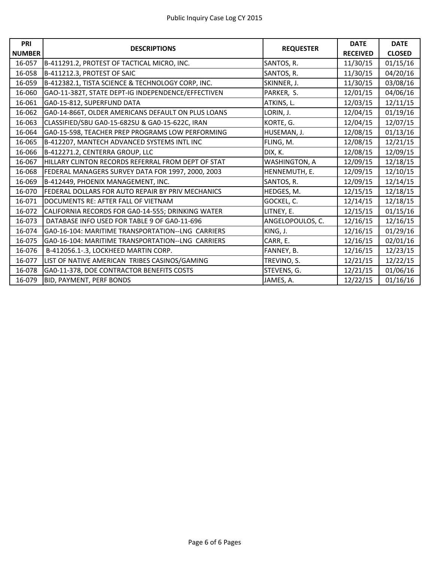| PRI           | <b>DESCRIPTIONS</b>                                | <b>REQUESTER</b> | <b>DATE</b>     | <b>DATE</b>   |
|---------------|----------------------------------------------------|------------------|-----------------|---------------|
| <b>NUMBER</b> |                                                    |                  | <b>RECEIVED</b> | <b>CLOSED</b> |
| 16-057        | B-411291.2, PROTEST OF TACTICAL MICRO, INC.        | SANTOS, R.       | 11/30/15        | 01/15/16      |
| 16-058        | B-411212.3, PROTEST OF SAIC                        | SANTOS, R.       | 11/30/15        | 04/20/16      |
| 16-059        | B-412382.1, TISTA SCIENCE & TECHNOLOGY CORP, INC.  | SKINNER, J.      | 11/30/15        | 03/08/16      |
| 16-060        | GAO-11-382T, STATE DEPT-IG INDEPENDENCE/EFFECTIVEN | PARKER, S.       | 12/01/15        | 04/06/16      |
| 16-061        | GA0-15-812, SUPERFUND DATA                         | ATKINS, L.       | 12/03/15        | 12/11/15      |
| 16-062        | GA0-14-866T, OLDER AMERICANS DEFAULT ON PLUS LOANS | LORIN, J.        | 12/04/15        | 01/19/16      |
| 16-063        | CLASSIFIED/SBU GA0-15-682SU & GA0-15-622C, IRAN    | KORTE, G.        | 12/04/15        | 12/07/15      |
| 16-064        | GA0-15-598, TEACHER PREP PROGRAMS LOW PERFORMING   | HUSEMAN, J.      | 12/08/15        | 01/13/16      |
| 16-065        | B-412207, MANTECH ADVANCED SYSTEMS INTL INC        | FLING, M.        | 12/08/15        | 12/21/15      |
| 16-066        | B-412271.2, CENTERRA GROUP, LLC                    | DIX, K.          | 12/08/15        | 12/09/15      |
| 16-067        | HILLARY CLINTON RECORDS REFERRAL FROM DEPT OF STAT | WASHINGTON, A    | 12/09/15        | 12/18/15      |
| 16-068        | FEDERAL MANAGERS SURVEY DATA FOR 1997, 2000, 2003  | HENNEMUTH, E.    | 12/09/15        | 12/10/15      |
| 16-069        | B-412449, PHOENIX MANAGEMENT, INC.                 | SANTOS, R.       | 12/09/15        | 12/14/15      |
| 16-070        | FEDERAL DOLLARS FOR AUTO REPAIR BY PRIV MECHANICS  | HEDGES, M.       | 12/15/15        | 12/18/15      |
| 16-071        | DOCUMENTS RE: AFTER FALL OF VIETNAM                | GOCKEL, C.       | 12/14/15        | 12/18/15      |
| 16-072        | CALIFORNIA RECORDS FOR GA0-14-555; DRINKING WATER  | LITNEY, E.       | 12/15/15        | 01/15/16      |
| 16-073        | DATABASE INFO USED FOR TABLE 9 OF GA0-11-696       | ANGELOPOULOS, C. | 12/16/15        | 12/16/15      |
| 16-074        | GA0-16-104: MARITIME TRANSPORTATION--LNG CARRIERS  | KING, J.         | 12/16/15        | 01/29/16      |
| 16-075        | GA0-16-104: MARITIME TRANSPORTATION--LNG CARRIERS  | CARR, E.         | 12/16/15        | 02/01/16      |
| 16-076        | B-412056.1-.3, LOCKHEED MARTIN CORP.               | FANNEY, B.       | 12/16/15        | 12/23/15      |
| 16-077        | LIST OF NATIVE AMERICAN TRIBES CASINOS/GAMING      | TREVINO, S.      | 12/21/15        | 12/22/15      |
| 16-078        | GA0-11-378, DOE CONTRACTOR BENEFITS COSTS          | STEVENS, G.      | 12/21/15        | 01/06/16      |
| 16-079        | BID, PAYMENT, PERF BONDS                           | JAMES, A.        | 12/22/15        | 01/16/16      |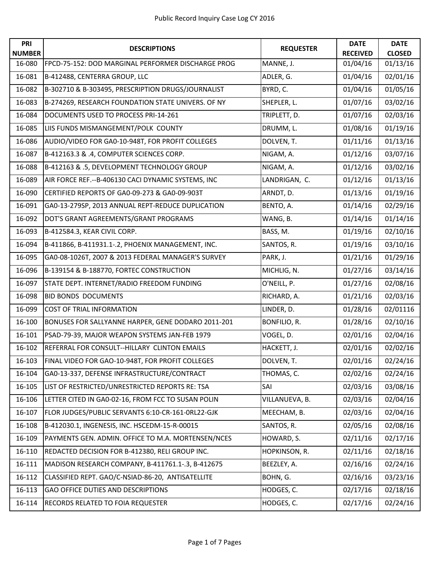| PRI<br><b>NUMBER</b> | <b>DESCRIPTIONS</b>                                | <b>REQUESTER</b> | <b>DATE</b><br><b>RECEIVED</b> | <b>DATE</b><br><b>CLOSED</b> |
|----------------------|----------------------------------------------------|------------------|--------------------------------|------------------------------|
| 16-080               | FPCD-75-152: DOD MARGINAL PERFORMER DISCHARGE PROG | MANNE, J.        | 01/04/16                       | 01/13/16                     |
| 16-081               | B-412488, CENTERRA GROUP, LLC                      | ADLER, G.        | 01/04/16                       | 02/01/16                     |
| 16-082               | B-302710 & B-303495, PRESCRIPTION DRUGS/JOURNALIST | BYRD, C.         | 01/04/16                       | 01/05/16                     |
| 16-083               | B-274269, RESEARCH FOUNDATION STATE UNIVERS. OF NY | SHEPLER, L.      | 01/07/16                       | 03/02/16                     |
| 16-084               | DOCUMENTS USED TO PROCESS PRI-14-261               | TRIPLETT, D.     | 01/07/16                       | 02/03/16                     |
| 16-085               | LIIS FUNDS MISMANGEMENT/POLK COUNTY                | DRUMM, L.        | 01/08/16                       | 01/19/16                     |
| 16-086               | AUDIO/VIDEO FOR GA0-10-948T, FOR PROFIT COLLEGES   | DOLVEN, T.       | 01/11/16                       | 01/13/16                     |
| 16-087               | B-412163.3 & .4, COMPUTER SCIENCES CORP.           | NIGAM, A.        | 01/12/16                       | 03/07/16                     |
| 16-088               | B-412163 & .5, DEVELOPMENT TECHNOLOGY GROUP        | NIGAM, A.        | 01/12/16                       | 03/02/16                     |
| 16-089               | AIR FORCE REF.--B-406130 CACI DYNAMIC SYSTEMS, INC | LANDRIGAN, C.    | 01/12/16                       | 01/13/16                     |
| 16-090               | CERTIFIED REPORTS OF GA0-09-273 & GA0-09-903T      | ARNDT, D.        | 01/13/16                       | 01/19/16                     |
| 16-091               | GA0-13-279SP, 2013 ANNUAL REPT-REDUCE DUPLICATION  | BENTO, A.        | 01/14/16                       | 02/29/16                     |
| 16-092               | DOT'S GRANT AGREEMENTS/GRANT PROGRAMS              | WANG, B.         | 01/14/16                       | 01/14/16                     |
| 16-093               | B-412584.3, KEAR CIVIL CORP.                       | BASS, M.         | 01/19/16                       | 02/10/16                     |
| 16-094               | B-411866, B-411931.1-.2, PHOENIX MANAGEMENT, INC.  | SANTOS, R.       | 01/19/16                       | 03/10/16                     |
| 16-095               | GA0-08-1026T, 2007 & 2013 FEDERAL MANAGER'S SURVEY | PARK, J.         | 01/21/16                       | 01/29/16                     |
| 16-096               | B-139154 & B-188770, FORTEC CONSTRUCTION           | MICHLIG, N.      | 01/27/16                       | 03/14/16                     |
| 16-097               | STATE DEPT. INTERNET/RADIO FREEDOM FUNDING         | O'NEILL, P.      | 01/27/16                       | 02/08/16                     |
| 16-098               | <b>BID BONDS DOCUMENTS</b>                         | RICHARD, A.      | 01/21/16                       | 02/03/16                     |
| 16-099               | COST OF TRIAL INFORMATION                          | LINDER, D.       | 01/28/16                       | 02/01116                     |
| 16-100               | BONUSES FOR SALLYANNE HARPER, GENE DODARO 2011-201 | BONFILIO, R.     | 01/28/16                       | 02/10/16                     |
| 16-101               | PSAD-79-39, MAJOR WEAPON SYSTEMS JAN-FEB 1979      | VOGEL, D.        | 02/01/16                       | 02/04/16                     |
| 16-102               | REFERRAL FOR CONSULT--HILLARY CLINTON EMAILS       | HACKETT, J.      | 02/01/16                       | 02/02/16                     |
| 16-103               | FINAL VIDEO FOR GAO-10-948T, FOR PROFIT COLLEGES   | DOLVEN, T.       | 02/01/16                       | 02/24/16                     |
| 16-104               | GA0-13-337, DEFENSE INFRASTRUCTURE/CONTRACT        | THOMAS, C.       | 02/02/16                       | 02/24/16                     |
| 16-105               | LIST OF RESTRICTED/UNRESTRICTED REPORTS RE: TSA    | SAI              | 02/03/16                       | 03/08/16                     |
| 16-106               | LETTER CITED IN GA0-02-16, FROM FCC TO SUSAN POLIN | VILLANUEVA, B.   | 02/03/16                       | 02/04/16                     |
| 16-107               | FLOR JUDGES/PUBLIC SERVANTS 6:10-CR-161-0RL22-GJK  | MEECHAM, B.      | 02/03/16                       | 02/04/16                     |
| 16-108               | B-412030.1, INGENESIS, INC. HSCEDM-15-R-00015      | SANTOS, R.       | 02/05/16                       | 02/08/16                     |
| 16-109               | PAYMENTS GEN. ADMIN. OFFICE TO M.A. MORTENSEN/NCES | HOWARD, S.       | 02/11/16                       | 02/17/16                     |
| 16-110               | REDACTED DECISION FOR B-412380, RELI GROUP INC.    | HOPKINSON, R.    | 02/11/16                       | 02/18/16                     |
| 16-111               | MADISON RESEARCH COMPANY, B-411761.1-.3, B-412675  | BEEZLEY, A.      | 02/16/16                       | 02/24/16                     |
| 16-112               | CLASSIFIED REPT. GAO/C-NSIAD-86-20, ANTISATELLITE  | BOHN, G.         | 02/16/16                       | 03/23/16                     |
| 16-113               | <b>GAO OFFICE DUTIES AND DESCRIPTIONS</b>          | HODGES, C.       | 02/17/16                       | 02/18/16                     |
| 16-114               | RECORDS RELATED TO FOIA REQUESTER                  | HODGES, C.       | 02/17/16                       | 02/24/16                     |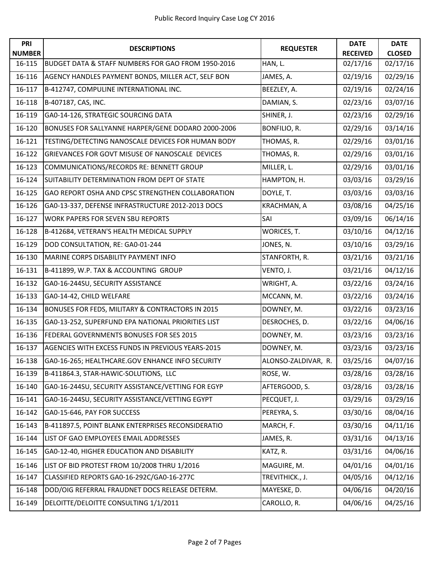| <b>PRI</b><br><b>NUMBER</b> | <b>DESCRIPTIONS</b>                                | <b>REQUESTER</b>    | <b>DATE</b><br><b>RECEIVED</b> | <b>DATE</b><br><b>CLOSED</b> |
|-----------------------------|----------------------------------------------------|---------------------|--------------------------------|------------------------------|
| 16-115                      | BUDGET DATA & STAFF NUMBERS FOR GAO FROM 1950-2016 | HAN, L.             | 02/17/16                       | 02/17/16                     |
| 16-116                      | AGENCY HANDLES PAYMENT BONDS, MILLER ACT, SELF BON | JAMES, A.           | 02/19/16                       | 02/29/16                     |
| 16-117                      | B-412747, COMPULINE INTERNATIONAL INC.             | BEEZLEY, A.         | 02/19/16                       | 02/24/16                     |
| 16-118                      | B-407187, CAS, INC.                                | DAMIAN, S.          | 02/23/16                       | 03/07/16                     |
| 16-119                      | GA0-14-126, STRATEGIC SOURCING DATA                | SHINER, J.          | 02/23/16                       | 02/29/16                     |
| 16-120                      | BONUSES FOR SALLYANNE HARPER/GENE DODARO 2000-2006 | BONFILIO, R.        | 02/29/16                       | 03/14/16                     |
| 16-121                      | TESTING/DETECTING NANOSCALE DEVICES FOR HUMAN BODY | THOMAS, R.          | 02/29/16                       | 03/01/16                     |
| 16-122                      | GRIEVANCES FOR GOVT MISUSE OF NANOSCALE DEVICES    | THOMAS, R.          | 02/29/16                       | 03/01/16                     |
| 16-123                      | COMMUNICATIONS/RECORDS RE: BENNETT GROUP           | MILLER, L.          | 02/29/16                       | 03/01/16                     |
| 16-124                      | SUITABILITY DETERMINATION FROM DEPT OF STATE       | HAMPTON, H.         | 03/03/16                       | 03/29/16                     |
| 16-125                      | GAO REPORT OSHA AND CPSC STRENGTHEN COLLABORATION  | DOYLE, T.           | 03/03/16                       | 03/03/16                     |
| 16-126                      | GA0-13-337, DEFENSE INFRASTRUCTURE 2012-2013 DOCS  | KRACHMAN, A         | 03/08/16                       | 04/25/16                     |
| 16-127                      | <b>WORK PAPERS FOR SEVEN SBU REPORTS</b>           | SAI                 | 03/09/16                       | 06/14/16                     |
| 16-128                      | B-412684, VETERAN'S HEALTH MEDICAL SUPPLY          | WORICES, T.         | 03/10/16                       | 04/12/16                     |
| 16-129                      | DOD CONSULTATION, RE: GA0-01-244                   | JONES, N.           | 03/10/16                       | 03/29/16                     |
| 16-130                      | MARINE CORPS DISABILITY PAYMENT INFO               | STANFORTH, R.       | 03/21/16                       | 03/21/16                     |
| 16-131                      | B-411899, W.P. TAX & ACCOUNTING GROUP              | VENTO, J.           | 03/21/16                       | 04/12/16                     |
| 16-132                      | GA0-16-244SU, SECURITY ASSISTANCE                  | WRIGHT, A.          | 03/22/16                       | 03/24/16                     |
| 16-133                      | GA0-14-42, CHILD WELFARE                           | MCCANN, M.          | 03/22/16                       | 03/24/16                     |
| 16-134                      | BONUSES FOR FEDS, MILITARY & CONTRACTORS IN 2015   | DOWNEY, M.          | 03/22/16                       | 03/23/16                     |
| 16-135                      | GA0-13-252, SUPERFUND EPA NATIONAL PRIORITIES LIST | DESROCHES, D.       | 03/22/16                       | 04/06/16                     |
| 16-136                      | FEDERAL GOVERNMENTS BONUSES FOR SES 2015           | DOWNEY, M.          | 03/23/16                       | 03/23/16                     |
| 16-137                      | AGENCIES WITH EXCESS FUNDS IN PREVIOUS YEARS-2015  | DOWNEY, M.          | 03/23/16                       | 03/23/16                     |
| 16-138                      | GA0-16-265; HEALTHCARE.GOV ENHANCE INFO SECURITY   | ALONSO-ZALDIVAR, R. | 03/25/16                       | 04/07/16                     |
| 16-139                      | B-411864.3, STAR-HAWIC-SOLUTIONS, LLC              | ROSE, W.            | 03/28/16                       | 03/28/16                     |
| 16-140                      | GA0-16-244SU, SECURITY ASSISTANCE/VETTING FOR EGYP | AFTERGOOD, S.       | 03/28/16                       | 03/28/16                     |
| 16-141                      | GA0-16-244SU, SECURITY ASSISTANCE/VETTING EGYPT    | PECQUET, J.         | 03/29/16                       | 03/29/16                     |
| 16-142                      | GA0-15-646, PAY FOR SUCCESS                        | PEREYRA, S.         | 03/30/16                       | 08/04/16                     |
| 16-143                      | B-411897.5, POINT BLANK ENTERPRISES RECONSIDERATIO | MARCH, F.           | 03/30/16                       | 04/11/16                     |
| 16-144                      | LIST OF GAO EMPLOYEES EMAIL ADDRESSES              | JAMES, R.           | 03/31/16                       | 04/13/16                     |
| 16-145                      | GA0-12-40, HIGHER EDUCATION AND DISABILITY         | KATZ, R.            | 03/31/16                       | 04/06/16                     |
| 16-146                      | LIST OF BID PROTEST FROM 10/2008 THRU 1/2016       | MAGUIRE, M.         | 04/01/16                       | 04/01/16                     |
| 16-147                      | CLASSIFIED REPORTS GA0-16-292C/GA0-16-277C         | TREVITHICK., J.     | 04/05/16                       | 04/12/16                     |
| 16-148                      | DOD/OIG REFERRAL FRAUDNET DOCS RELEASE DETERM.     | MAYESKE, D.         | 04/06/16                       | 04/20/16                     |
| 16-149                      | DELOITTE/DELOITTE CONSULTING 1/1/2011              | CAROLLO, R.         | 04/06/16                       | 04/25/16                     |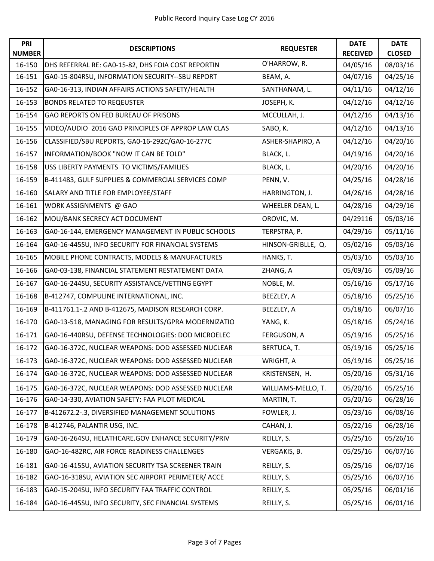| PRI<br><b>NUMBER</b> | <b>DESCRIPTIONS</b>                                | <b>REQUESTER</b>   | <b>DATE</b><br><b>RECEIVED</b> | <b>DATE</b><br><b>CLOSED</b> |
|----------------------|----------------------------------------------------|--------------------|--------------------------------|------------------------------|
| 16-150               | DHS REFERRAL RE: GA0-15-82, DHS FOIA COST REPORTIN | O'HARROW, R.       | 04/05/16                       | 08/03/16                     |
| 16-151               | GA0-15-804RSU, INFORMATION SECURITY--SBU REPORT    | BEAM, A.           | 04/07/16                       | 04/25/16                     |
| 16-152               | GA0-16-313, INDIAN AFFAIRS ACTIONS SAFETY/HEALTH   | SANTHANAM, L.      | 04/11/16                       | 04/12/16                     |
| 16-153               | <b>BONDS RELATED TO REQEUSTER</b>                  | JOSEPH, K.         | 04/12/16                       | 04/12/16                     |
| 16-154               | GAO REPORTS ON FED BUREAU OF PRISONS               | MCCULLAH, J.       | 04/12/16                       | 04/13/16                     |
| 16-155               | VIDEO/AUDIO 2016 GAO PRINCIPLES OF APPROP LAW CLAS | SABO, K.           | 04/12/16                       | 04/13/16                     |
| 16-156               | CLASSIFIED/SBU REPORTS, GA0-16-292C/GA0-16-277C    | ASHER-SHAPIRO, A   | 04/12/16                       | 04/20/16                     |
| 16-157               | INFORMATION/BOOK "NOW IT CAN BE TOLD"              | BLACK, L.          | 04/19/16                       | 04/20/16                     |
| 16-158               | USS LIBERTY PAYMENTS TO VICTIMS/FAMILIES           | BLACK, L.          | 04/20/16                       | 04/20/16                     |
| 16-159               | B-411483, GULF SUPPLIES & COMMERCIAL SERVICES COMP | PENN, V.           | 04/25/16                       | 04/28/16                     |
| 16-160               | SALARY AND TITLE FOR EMPLOYEE/STAFF                | HARRINGTON, J.     | 04/26/16                       | 04/28/16                     |
| 16-161               | WORK ASSIGNMENTS @ GAO                             | WHEELER DEAN, L.   | 04/28/16                       | 04/29/16                     |
| 16-162               | MOU/BANK SECRECY ACT DOCUMENT                      | OROVIC, M.         | 04/29116                       | 05/03/16                     |
| 16-163               | GA0-16-144, EMERGENCY MANAGEMENT IN PUBLIC SCHOOLS | TERPSTRA, P.       | 04/29/16                       | 05/11/16                     |
| 16-164               | GA0-16-445SU, INFO SECURITY FOR FINANCIAL SYSTEMS  | HINSON-GRIBLLE, Q. | 05/02/16                       | 05/03/16                     |
| 16-165               | MOBILE PHONE CONTRACTS, MODELS & MANUFACTURES      | HANKS, T.          | 05/03/16                       | 05/03/16                     |
| 16-166               | GA0-03-138, FINANCIAL STATEMENT RESTATEMENT DATA   | ZHANG, A           | 05/09/16                       | 05/09/16                     |
| 16-167               | GA0-16-244SU, SECURITY ASSISTANCE/VETTING EGYPT    | NOBLE, M.          | 05/16/16                       | 05/17/16                     |
| 16-168               | B-412747, COMPULINE INTERNATIONAL, INC.            | BEEZLEY, A         | 05/18/16                       | 05/25/16                     |
| 16-169               | B-411761.1-.2 AND B-412675, MADISON RESEARCH CORP. | BEEZLEY, A         | 05/18/16                       | 06/07/16                     |
| 16-170               | GA0-13-518, MANAGING FOR RESULTS/GPRA MODERNIZATIO | YANG, K.           | 05/18/16                       | 05/24/16                     |
| 16-171               | GA0-16-440RSU, DEFENSE TECHNOLOGIES: DOD MICROELEC | FERGUSON, A        | 05/19/16                       | 05/25/16                     |
| 16-172               | GA0-16-372C, NUCLEAR WEAPONS: DOD ASSESSED NUCLEAR | BERTUCA, T.        | 05/19/16                       | 05/25/16                     |
| 16-173               | GA0-16-372C, NUCLEAR WEAPONS: DOD ASSESSED NUCLEAR | WRIGHT, A          | 05/19/16                       | 05/25/16                     |
| 16-174               | GA0-16-372C, NUCLEAR WEAPONS: DOD ASSESSED NUCLEAR | KRISTENSEN, H.     | 05/20/16                       | 05/31/16                     |
| 16-175               | GA0-16-372C, NUCLEAR WEAPONS: DOD ASSESSED NUCLEAR | WILLIAMS-MELLO, T. | 05/20/16                       | 05/25/16                     |
| 16-176               | GA0-14-330, AVIATION SAFETY: FAA PILOT MEDICAL     | MARTIN, T.         | 05/20/16                       | 06/28/16                     |
| 16-177               | B-412672.2-.3, DIVERSIFIED MANAGEMENT SOLUTIONS    | FOWLER, J.         | 05/23/16                       | 06/08/16                     |
| 16-178               | B-412746, PALANTIR USG, INC.                       | CAHAN, J.          | 05/22/16                       | 06/28/16                     |
| 16-179               | GA0-16-264SU, HELATHCARE.GOV ENHANCE SECURITY/PRIV | REILLY, S.         | 05/25/16                       | 05/26/16                     |
| 16-180               | GAO-16-482RC, AIR FORCE READINESS CHALLENGES       | VERGAKIS, B.       | 05/25/16                       | 06/07/16                     |
| 16-181               | GA0-16-415SU, AVIATION SECURITY TSA SCREENER TRAIN | REILLY, S.         | 05/25/16                       | 06/07/16                     |
| 16-182               | GAO-16-318SU, AVIATION SEC AIRPORT PERIMETER/ ACCE | REILLY, S.         | 05/25/16                       | 06/07/16                     |
| 16-183               | GA0-15-204SU, INFO SECURITY FAA TRAFFIC CONTROL    | REILLY, S.         | 05/25/16                       | 06/01/16                     |
| 16-184               | GA0-16-445SU, INFO SECURITY, SEC FINANCIAL SYSTEMS | REILLY, S.         | 05/25/16                       | 06/01/16                     |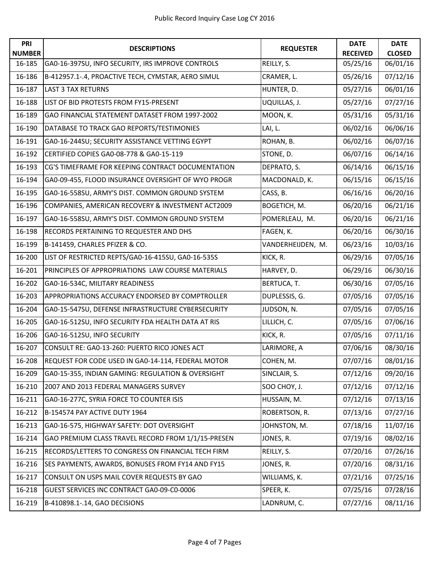| PRI<br><b>NUMBER</b> | <b>DESCRIPTIONS</b>                                | <b>REQUESTER</b>  | <b>DATE</b><br><b>RECEIVED</b> | <b>DATE</b><br><b>CLOSED</b> |
|----------------------|----------------------------------------------------|-------------------|--------------------------------|------------------------------|
| 16-185               | GA0-16-397SU, INFO SECURITY, IRS IMPROVE CONTROLS  | REILLY, S.        | 05/25/16                       | 06/01/16                     |
| 16-186               | B-412957.1-.4, PROACTIVE TECH, CYMSTAR, AERO SIMUL | CRAMER, L.        | 05/26/16                       | 07/12/16                     |
| 16-187               | <b>LAST 3 TAX RETURNS</b>                          | HUNTER, D.        | 05/27/16                       | 06/01/16                     |
| 16-188               | LIST OF BID PROTESTS FROM FY15-PRESENT             | UQUILLAS, J.      | 05/27/16                       | 07/27/16                     |
| 16-189               | GAO FINANCIAL STATEMENT DATASET FROM 1997-2002     | MOON, K.          | 05/31/16                       | 05/31/16                     |
| 16-190               | DATABASE TO TRACK GAO REPORTS/TESTIMONIES          | LAI, L.           | 06/02/16                       | 06/06/16                     |
| 16-191               | GA0-16-244SU; SECURITY ASSISTANCE VETTING EGYPT    | ROHAN, B.         | 06/02/16                       | 06/07/16                     |
| 16-192               | CERTIFIED COPIES GA0-08-778 & GA0-15-119           | STONE, D.         | 06/07/16                       | 06/14/16                     |
| 16-193               | CG'S TIMEFRAME FOR KEEPING CONTRACT DOCUMENTATION  | DEPRATO, S.       | 06/14/16                       | 06/15/16                     |
| 16-194               | GA0-09-455, FLOOD INSURANCE OVERSIGHT OF WYO PROGR | MACDONALD, K.     | 06/15/16                       | 06/15/16                     |
| 16-195               | GA0-16-558SU, ARMY'S DIST. COMMON GROUND SYSTEM    | CASS, B.          | 06/16/16                       | 06/20/16                     |
| 16-196               | COMPANIES, AMERICAN RECOVERY & INVESTMENT ACT2009  | BOGETICH, M.      | 06/20/16                       | 06/21/16                     |
| 16-197               | GA0-16-558SU, ARMY'S DIST. COMMON GROUND SYSTEM    | POMERLEAU, M.     | 06/20/16                       | 06/21/16                     |
| 16-198               | RECORDS PERTAINING TO REQUESTER AND DHS            | FAGEN, K.         | 06/20/16                       | 06/30/16                     |
| 16-199               | B-141459, CHARLES PFIZER & CO.                     | VANDERHEIJDEN, M. | 06/23/16                       | 10/03/16                     |
| 16-200               | LIST OF RESTRICTED REPTS/GA0-16-415SU, GA0-16-535S | KICK, R.          | 06/29/16                       | 07/05/16                     |
| 16-201               | PRINCIPLES OF APPROPRIATIONS LAW COURSE MATERIALS  | HARVEY, D.        | 06/29/16                       | 06/30/16                     |
| 16-202               | GA0-16-534C, MILITARY READINESS                    | BERTUCA, T.       | 06/30/16                       | 07/05/16                     |
| 16-203               | APPROPRIATIONS ACCURACY ENDORSED BY COMPTROLLER    | DUPLESSIS, G.     | 07/05/16                       | 07/05/16                     |
| 16-204               | GA0-15-547SU, DEFENSE INFRASTRUCTURE CYBERSECURITY | JUDSON, N.        | 07/05/16                       | 07/05/16                     |
| 16-205               | GA0-16-512SU, INFO SECURITY FDA HEALTH DATA AT RIS | LILLICH, C.       | 07/05/16                       | 07/06/16                     |
| 16-206               | GA0-16-512SU, INFO SECURITY                        | KICK, R.          | 07/05/16                       | 07/11/16                     |
| 16-207               | CONSULT RE: GA0-13-260: PUERTO RICO JONES ACT      | LARIMORE, A       | 07/06/16                       | 08/30/16                     |
| 16-208               | REQUEST FOR CODE USED IN GA0-14-114, FEDERAL MOTOR | COHEN, M.         | 07/07/16                       | 08/01/16                     |
| 16-209               | GA0-15-355, INDIAN GAMING: REGULATION & OVERSIGHT  | SINCLAIR, S.      | 07/12/16                       | 09/20/16                     |
| 16-210               | 2007 AND 2013 FEDERAL MANAGERS SURVEY              | SOO CHOY, J.      | 07/12/16                       | 07/12/16                     |
| 16-211               | GA0-16-277C, SYRIA FORCE TO COUNTER ISIS           | HUSSAIN, M.       | 07/12/16                       | 07/13/16                     |
| 16-212               | B-154574 PAY ACTIVE DUTY 1964                      | ROBERTSON, R.     | 07/13/16                       | 07/27/16                     |
| 16-213               | GA0-16-575, HIGHWAY SAFETY: DOT OVERSIGHT          | JOHNSTON, M.      | 07/18/16                       | 11/07/16                     |
| 16-214               | GAO PREMIUM CLASS TRAVEL RECORD FROM 1/1/15-PRESEN | JONES, R.         | 07/19/16                       | 08/02/16                     |
| 16-215               | RECORDS/LETTERS TO CONGRESS ON FINANCIAL TECH FIRM | REILLY, S.        | 07/20/16                       | 07/26/16                     |
| 16-216               | SES PAYMENTS, AWARDS, BONUSES FROM FY14 AND FY15   | JONES, R.         | 07/20/16                       | 08/31/16                     |
| 16-217               | CONSULT ON USPS MAIL COVER REQUESTS BY GAO         | WILLIAMS, K.      | 07/21/16                       | 07/25/16                     |
| 16-218               | GUEST SERVICES INC CONTRACT GA0-09-C0-0006         | SPEER, K.         | 07/25/16                       | 07/28/16                     |
| 16-219               | B-410898.1-.14, GAO DECISIONS                      | LADNRUM, C.       | 07/27/16                       | 08/11/16                     |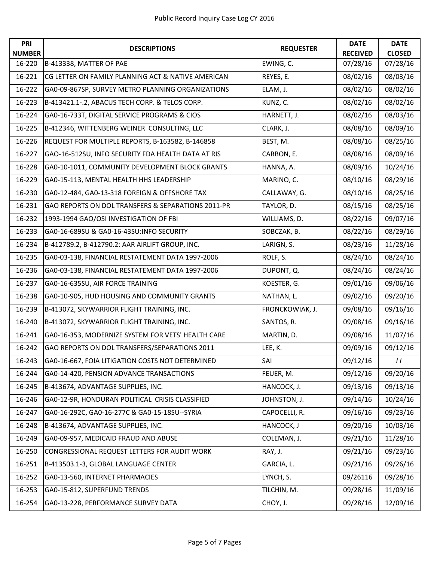| PRI<br><b>NUMBER</b> | <b>DESCRIPTIONS</b>                                | <b>REQUESTER</b> | <b>DATE</b><br><b>RECEIVED</b> | <b>DATE</b><br><b>CLOSED</b> |
|----------------------|----------------------------------------------------|------------------|--------------------------------|------------------------------|
| 16-220               | B-413338, MATTER OF PAE                            | EWING, C.        | 07/28/16                       | 07/28/16                     |
| 16-221               | CG LETTER ON FAMILY PLANNING ACT & NATIVE AMERICAN | REYES, E.        | 08/02/16                       | 08/03/16                     |
| 16-222               | GA0-09-867SP, SURVEY METRO PLANNING ORGANIZATIONS  | ELAM, J.         | 08/02/16                       | 08/02/16                     |
| 16-223               | B-413421.1-.2, ABACUS TECH CORP. & TELOS CORP.     | KUNZ, C.         | 08/02/16                       | 08/02/16                     |
| 16-224               | GA0-16-733T, DIGITAL SERVICE PROGRAMS & CIOS       | HARNETT, J.      | 08/02/16                       | 08/03/16                     |
| 16-225               | B-412346, WITTENBERG WEINER CONSULTING, LLC        | CLARK, J.        | 08/08/16                       | 08/09/16                     |
| 16-226               | REQUEST FOR MULTIPLE REPORTS, B-163582, B-146858   | BEST, M.         | 08/08/16                       | 08/25/16                     |
| 16-227               | GAO-16-512SU, INFO SECURITY FDA HEALTH DATA AT RIS | CARBON, E.       | 08/08/16                       | 08/09/16                     |
| 16-228               | GA0-10-1011, COMMUNITY DEVELOPMENT BLOCK GRANTS    | HANNA, A.        | 08/09/16                       | 10/24/16                     |
| 16-229               | GA0-15-113, MENTAL HEALTH HHS LEADERSHIP           | MARINO, C.       | 08/10/16                       | 08/29/16                     |
| 16-230               | GA0-12-484, GA0-13-318 FOREIGN & OFFSHORE TAX      | CALLAWAY, G.     | 08/10/16                       | 08/25/16                     |
| 16-231               | GAO REPORTS ON DOL TRANSFERS & SEPARATIONS 2011-PR | TAYLOR, D.       | 08/15/16                       | 08/25/16                     |
| 16-232               | 1993-1994 GAO/OSI INVESTIGATION OF FBI             | WILLIAMS, D.     | 08/22/16                       | 09/07/16                     |
| 16-233               | GA0-16-689SU & GA0-16-43SU:INFO SECURITY           | SOBCZAK, B.      | 08/22/16                       | 08/29/16                     |
| 16-234               | B-412789.2, B-412790.2: AAR AIRLIFT GROUP, INC.    | LARIGN, S.       | 08/23/16                       | 11/28/16                     |
| 16-235               | GA0-03-138, FINANCIAL RESTATEMENT DATA 1997-2006   | ROLF, S.         | 08/24/16                       | 08/24/16                     |
| 16-236               | GA0-03-138, FINANCIAL RESTATEMENT DATA 1997-2006   | DUPONT, Q.       | 08/24/16                       | 08/24/16                     |
| 16-237               | GA0-16-635SU, AIR FORCE TRAINING                   | KOESTER, G.      | 09/01/16                       | 09/06/16                     |
| 16-238               | GA0-10-905, HUD HOUSING AND COMMUNITY GRANTS       | NATHAN, L.       | 09/02/16                       | 09/20/16                     |
| 16-239               | B-413072, SKYWARRIOR FLIGHT TRAINING, INC.         | FRONCKOWIAK, J.  | 09/08/16                       | 09/16/16                     |
| 16-240               | B-413072, SKYWARRIOR FLIGHT TRAINING, INC.         | SANTOS, R.       | 09/08/16                       | 09/16/16                     |
| 16-241               | GA0-16-353, MODERNIZE SYSTEM FOR VETS' HEALTH CARE | MARTIN, D.       | 09/08/16                       | 11/07/16                     |
| 16-242               | GAO REPORTS ON DOL TRANSFERS/SEPARATIONS 2011      | LEE, K.          | 09/09/16                       | 09/12/16                     |
| 16-243               | GA0-16-667, FOIA LITIGATION COSTS NOT DETERMINED   | SAI              | 09/12/16                       | $\frac{1}{2}$                |
| 16-244               | GA0-14-420, PENSION ADVANCE TRANSACTIONS           | FEUER, M.        | 09/12/16                       | 09/20/16                     |
| 16-245               | B-413674, ADVANTAGE SUPPLIES, INC.                 | HANCOCK, J.      | 09/13/16                       | 09/13/16                     |
| 16-246               | GA0-12-9R, HONDURAN POLITICAL CRISIS CLASSIFIED    | JOHNSTON, J.     | 09/14/16                       | 10/24/16                     |
| 16-247               | GA0-16-292C, GA0-16-277C & GA0-15-18SU--SYRIA      | CAPOCELLI, R.    | 09/16/16                       | 09/23/16                     |
| 16-248               | B-413674, ADVANTAGE SUPPLIES, INC.                 | HANCOCK, J       | 09/20/16                       | 10/03/16                     |
| 16-249               | GA0-09-957, MEDICAID FRAUD AND ABUSE               | COLEMAN, J.      | 09/21/16                       | 11/28/16                     |
| 16-250               | CONGRESSIONAL REQUEST LETTERS FOR AUDIT WORK       | RAY, J.          | 09/21/16                       | 09/23/16                     |
| 16-251               | B-413503.1-3, GLOBAL LANGUAGE CENTER               | GARCIA, L.       | 09/21/16                       | 09/26/16                     |
| 16-252               | GA0-13-560, INTERNET PHARMACIES                    | LYNCH, S.        | 09/26116                       | 09/28/16                     |
| 16-253               | GA0-15-812, SUPERFUND TRENDS                       | TILCHIN, M.      | 09/28/16                       | 11/09/16                     |
| 16-254               | GA0-13-228, PERFORMANCE SURVEY DATA                | CHOY, J.         | 09/28/16                       | 12/09/16                     |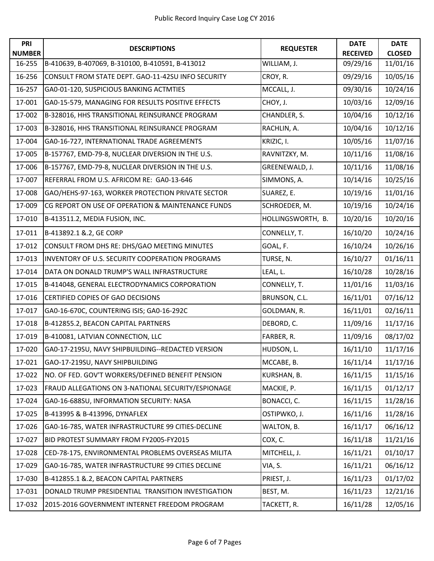| PRI                     | <b>DESCRIPTIONS</b>                                | <b>REQUESTER</b>  | <b>DATE</b>                 | <b>DATE</b><br><b>CLOSED</b> |
|-------------------------|----------------------------------------------------|-------------------|-----------------------------|------------------------------|
| <b>NUMBER</b><br>16-255 | B-410639, B-407069, B-310100, B-410591, B-413012   | WILLIAM, J.       | <b>RECEIVED</b><br>09/29/16 | 11/01/16                     |
| 16-256                  | CONSULT FROM STATE DEPT. GAO-11-42SU INFO SECURITY | CROY, R.          | 09/29/16                    | 10/05/16                     |
| 16-257                  | GA0-01-120, SUSPICIOUS BANKING ACTMTIES            | MCCALL, J.        | 09/30/16                    | 10/24/16                     |
| 17-001                  | GA0-15-579, MANAGING FOR RESULTS POSITIVE EFFECTS  | CHOY, J.          | 10/03/16                    | 12/09/16                     |
| 17-002                  | B-328016, HHS TRANSITIONAL REINSURANCE PROGRAM     | CHANDLER, S.      | 10/04/16                    | 10/12/16                     |
| 17-003                  | B-328016, HHS TRANSITIONAL REINSURANCE PROGRAM     | RACHLIN, A.       | 10/04/16                    | 10/12/16                     |
| 17-004                  | GA0-16-727, INTERNATIONAL TRADE AGREEMENTS         | KRIZIC, I.        | 10/05/16                    | 11/07/16                     |
| 17-005                  | B-157767, EMD-79-8, NUCLEAR DIVERSION IN THE U.S.  | RAVNITZKY, M.     | 10/11/16                    | 11/08/16                     |
| 17-006                  | B-157767, EMD-79-8, NUCLEAR DIVERSION IN THE U.S.  | GREENEWALD, J.    | 10/11/16                    | 11/08/16                     |
| 17-007                  | REFERRAL FROM U.S. AFRICOM RE: GA0-13-646          | SIMMONS, A.       | 10/14/16                    | 10/25/16                     |
| 17-008                  | GAO/HEHS-97-163, WORKER PROTECTION PRIVATE SECTOR  | SUAREZ, E.        | 10/19/16                    |                              |
|                         |                                                    |                   |                             | 11/01/16                     |
| 17-009                  | CG REPORT ON USE OF OPERATION & MAINTENANCE FUNDS  | SCHROEDER, M.     | 10/19/16                    | 10/24/16                     |
| 17-010                  | B-413511.2, MEDIA FUSION, INC.                     | HOLLINGSWORTH, B. | 10/20/16                    | 10/20/16                     |
| 17-011                  | B-413892.1 &.2, GE CORP                            | CONNELLY, T.      | 16/10/20                    | 10/24/16                     |
| 17-012                  | CONSULT FROM DHS RE: DHS/GAO MEETING MINUTES       | GOAL, F.          | 16/10/24                    | 10/26/16                     |
| 17-013                  | INVENTORY OF U.S. SECURITY COOPERATION PROGRAMS    | TURSE, N.         | 16/10/27                    | 01/16/11                     |
| 17-014                  | DATA ON DONALD TRUMP'S WALL INFRASTRUCTURE         | LEAL, L.          | 16/10/28                    | 10/28/16                     |
| 17-015                  | B-414048, GENERAL ELECTRODYNAMICS CORPORATION      | CONNELLY, T.      | 11/01/16                    | 11/03/16                     |
| 17-016                  | <b>CERTIFIED COPIES OF GAO DECISIONS</b>           | BRUNSON, C.L.     | 16/11/01                    | 07/16/12                     |
| 17-017                  | GA0-16-670C, COUNTERING ISIS; GA0-16-292C          | GOLDMAN, R.       | 16/11/01                    | 02/16/11                     |
| 17-018                  | B-412855.2, BEACON CAPITAL PARTNERS                | DEBORD, C.        | 11/09/16                    | 11/17/16                     |
| 17-019                  | B-410081, LATVIAN CONNECTION, LLC                  | FARBER, R.        | 11/09/16                    | 08/17/02                     |
| 17-020                  | GA0-17-219SU, NAVY SHIPBUILDING--REDACTED VERSION  | HUDSON, L.        | 16/11/10                    | 11/17/16                     |
| 17-021                  | GAO-17-219SU, NAVY SHIPBUILDING                    | MCCABE, B.        | 16/11/14                    | 11/17/16                     |
| 17-022                  | NO. OF FED. GOV'T WORKERS/DEFINED BENEFIT PENSION  | KURSHAN, B.       | 16/11/15                    | 11/15/16                     |
| 17-023                  | FRAUD ALLEGATIONS ON 3-NATIONAL SECURITY/ESPIONAGE | MACKIE, P.        | 16/11/15                    | 01/12/17                     |
| 17-024                  | GA0-16-688SU, INFORMATION SECURITY: NASA           | BONACCI, C.       | 16/11/15                    | 11/28/16                     |
| 17-025                  | B-413995 & B-413996, DYNAFLEX                      | OSTIPWKO, J.      | 16/11/16                    | 11/28/16                     |
| 17-026                  | GA0-16-785, WATER INFRASTRUCTURE 99 CITIES-DECLINE | WALTON, B.        | 16/11/17                    | 06/16/12                     |
| 17-027                  | BID PROTEST SUMMARY FROM FY2005-FY2015             | COX, C.           | 16/11/18                    | 11/21/16                     |
| 17-028                  | CED-78-175, ENVIRONMENTAL PROBLEMS OVERSEAS MILITA | MITCHELL, J.      | 16/11/21                    | 01/10/17                     |
| 17-029                  | GA0-16-785, WATER INFRASTRUCTURE 99 CITIES DECLINE | VIA, S.           | 16/11/21                    | 06/16/12                     |
| 17-030                  | B-412855.1 &.2, BEACON CAPITAL PARTNERS            | PRIEST, J.        | 16/11/23                    | 01/17/02                     |
| 17-031                  | DONALD TRUMP PRESIDENTIAL TRANSITION INVESTIGATION | BEST, M.          | 16/11/23                    | 12/21/16                     |
| 17-032                  | 2015-2016 GOVERNMENT INTERNET FREEDOM PROGRAM      | TACKETT, R.       | 16/11/28                    | 12/05/16                     |